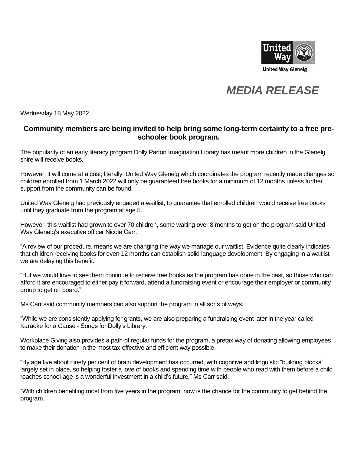

## *MEDIA RELEASE*

Wednesday 18 May 2022

## **Community members are being invited to help bring some long-term certainty to a free preschooler book program.**

The popularity of an early literacy program Dolly Parton Imagination Library has meant more children in the Glenelg shire will receive books.

However, it will come at a cost, literally. United Way Glenelg which coordinates the program recently made changes so children enrolled from 1 March 2022 will only be guaranteed free books for a minimum of 12 months unless further support from the community can be found.

United Way Glenelg had previously engaged a waitlist, to guarantee that enrolled children would receive free books until they graduate from the program at age 5.

However, this waitlist had grown to over 70 children, some waiting over 8 months to get on the program said United Way Glenelg's executive officer Nicole Carr.

"A review of our procedure, means we are changing the way we manage our waitlist. Evidence quite clearly indicates that children receiving books for even 12 months can establish solid language development. By engaging in a waitlist we are delaying this benefit."

"But we would love to see them continue to receive free books as the program has done in the past, so those who can afford it are encouraged to either pay it forward, attend a fundraising event or encourage their employer or community group to get on board."

Ms Carr said community members can also support the program in all sorts of ways.

"While we are consistently applying for grants, we are also preparing a fundraising event later in the year called Karaoke for a Cause - Songs for Dolly's Library.

Workplace Giving also provides a path of regular funds for the program, a pretax way of donating allowing employees to make their donation in the most tax-effective and efficient way possible.

"By age five about ninety per cent of brain development has occurred, with cognitive and linguistic "building blocks" largely set in place, so helping foster a love of books and spending time with people who read with them before a child reaches school-age is a wonderful investment in a child's future," Ms Carr said.

"With children benefiting most from five years in the program, now is the chance for the community to get behind the program."